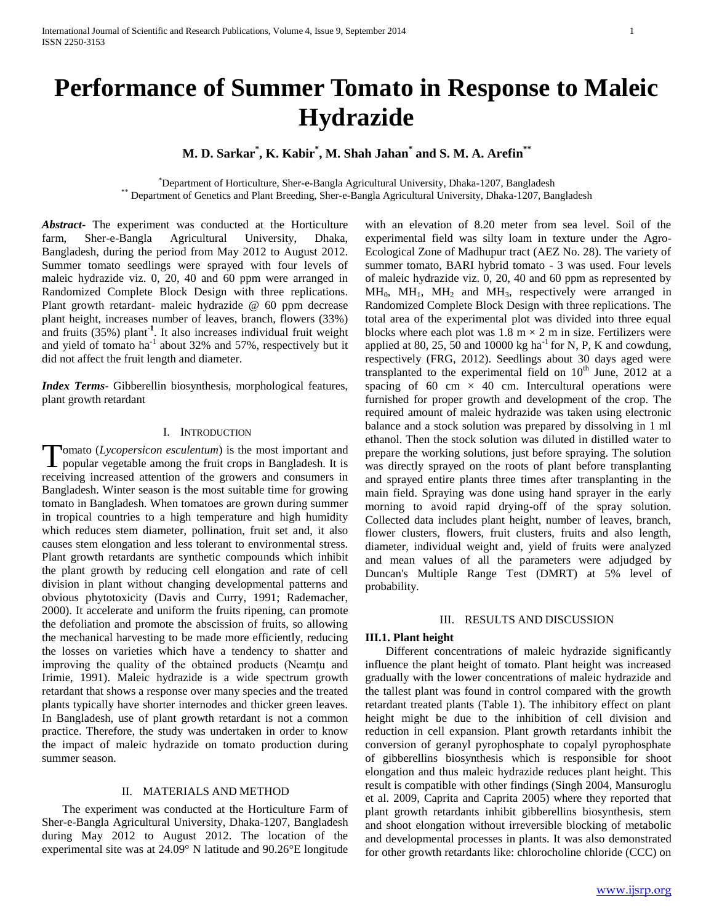# **Performance of Summer Tomato in Response to Maleic Hydrazide**

# **M. D. Sarkar\* , K. Kabir\* , M. Shah Jahan\* and S. M. A. Arefin\*\***

\*Department of Horticulture, Sher-e-Bangla Agricultural University, Dhaka-1207, Bangladesh \*\* Department of Genetics and Plant Breeding, Sher-e-Bangla Agricultural University, Dhaka-1207, Bangladesh

*Abstract***-** The experiment was conducted at the Horticulture farm, Sher-e-Bangla Agricultural University, Dhaka, Bangladesh, during the period from May 2012 to August 2012. Summer tomato seedlings were sprayed with four levels of maleic hydrazide viz. 0, 20, 40 and 60 ppm were arranged in Randomized Complete Block Design with three replications. Plant growth retardant- maleic hydrazide @ 60 ppm decrease plant height, increases number of leaves, branch, flowers (33%) and fruits (35%) plant-**<sup>1</sup>** . It also increases individual fruit weight and yield of tomato ha<sup>-1</sup> about 32% and 57%, respectively but it did not affect the fruit length and diameter.

*Index Terms*- Gibberellin biosynthesis, morphological features, plant growth retardant

## I. INTRODUCTION

omato (*Lycopersicon esculentum*) is the most important and Tomato (Lycopersicon esculentum) is the most important and popular vegetable among the fruit crops in Bangladesh. It is receiving increased attention of the growers and consumers in Bangladesh. Winter season is the most suitable time for growing tomato in Bangladesh. When tomatoes are grown during summer in tropical countries to a high temperature and high humidity which reduces stem diameter, pollination, fruit set and, it also causes stem elongation and less tolerant to environmental stress. Plant growth retardants are synthetic compounds which inhibit the plant growth by reducing cell elongation and rate of cell division in plant without changing developmental patterns and obvious phytotoxicity (Davis and Curry, 1991; Rademacher, 2000). It accelerate and uniform the fruits ripening, can promote the defoliation and promote the abscission of fruits, so allowing the mechanical harvesting to be made more efficiently, reducing the losses on varieties which have a tendency to shatter and improving the quality of the obtained products (Neamţu and Irimie, 1991). Maleic hydrazide is a wide spectrum growth retardant that shows a response over many species and the treated plants typically have shorter internodes and thicker green leaves. In Bangladesh, use of plant growth retardant is not a common practice. Therefore, the study was undertaken in order to know the impact of maleic hydrazide on tomato production during summer season.

## II. MATERIALS AND METHOD

 The experiment was conducted at the Horticulture Farm of Sher-e-Bangla Agricultural University, Dhaka-1207, Bangladesh during May 2012 to August 2012. The location of the experimental site was at 24.09° N latitude and 90.26°E longitude

with an elevation of 8.20 meter from sea level. Soil of the experimental field was silty loam in texture under the Agro-Ecological Zone of Madhupur tract (AEZ No. 28). The variety of summer tomato, BARI hybrid tomato - 3 was used. Four levels of maleic hydrazide viz. 0, 20, 40 and 60 ppm as represented by  $MH<sub>0</sub>, MH<sub>1</sub>, MH<sub>2</sub>$  and  $MH<sub>3</sub>$ , respectively were arranged in Randomized Complete Block Design with three replications. The total area of the experimental plot was divided into three equal blocks where each plot was  $1.8 \text{ m} \times 2 \text{ m}$  in size. Fertilizers were applied at 80, 25, 50 and 10000 kg ha $^{-1}$  for N, P, K and cowdung, respectively (FRG, 2012). Seedlings about 30 days aged were transplanted to the experimental field on  $10^{th}$  June, 2012 at a spacing of 60 cm  $\times$  40 cm. Intercultural operations were furnished for proper growth and development of the crop. The required amount of maleic hydrazide was taken using electronic balance and a stock solution was prepared by dissolving in 1 ml ethanol. Then the stock solution was diluted in distilled water to prepare the working solutions, just before spraying. The solution was directly sprayed on the roots of plant before transplanting and sprayed entire plants three times after transplanting in the main field. Spraying was done using hand sprayer in the early morning to avoid rapid drying-off of the spray solution. Collected data includes plant height, number of leaves, branch, flower clusters, flowers, fruit clusters, fruits and also length, diameter, individual weight and, yield of fruits were analyzed and mean values of all the parameters were adjudged by Duncan's Multiple Range Test (DMRT) at 5% level of probability.

## III. RESULTS AND DISCUSSION

#### **III.1. Plant height**

 Different concentrations of maleic hydrazide significantly influence the plant height of tomato. Plant height was increased gradually with the lower concentrations of maleic hydrazide and the tallest plant was found in control compared with the growth retardant treated plants (Table 1). The inhibitory effect on plant height might be due to the inhibition of cell division and reduction in cell expansion. Plant growth retardants inhibit the conversion of geranyl pyrophosphate to copalyl pyrophosphate of gibberellins biosynthesis which is responsible for shoot elongation and thus maleic hydrazide reduces plant height. This result is compatible with other findings (Singh 2004, Mansuroglu et al. 2009, Caprita and Caprita 2005) where they reported that plant growth retardants inhibit gibberellins biosynthesis, stem and shoot elongation without irreversible blocking of metabolic and developmental processes in plants. It was also demonstrated for other growth retardants like: chlorocholine chloride (CCC) on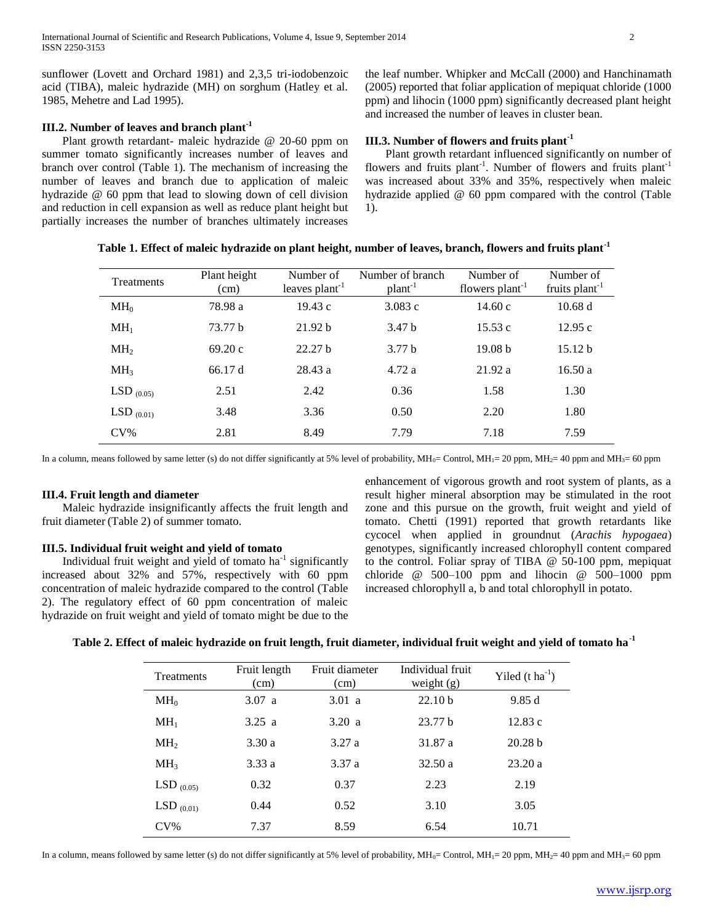sunflower (Lovett and Orchard 1981) and 2,3,5 tri-iodobenzoic acid (TIBA), maleic hydrazide (MH) on sorghum (Hatley et al. 1985, Mehetre and Lad 1995).

# **III.2. Number of leaves and branch plant-1**

 Plant growth retardant- maleic hydrazide @ 20-60 ppm on summer tomato significantly increases number of leaves and branch over control (Table 1). The mechanism of increasing the number of leaves and branch due to application of maleic hydrazide @ 60 ppm that lead to slowing down of cell division and reduction in cell expansion as well as reduce plant height but partially increases the number of branches ultimately increases the leaf number. Whipker and McCall (2000) and Hanchinamath (2005) reported that foliar application of mepiquat chloride (1000 ppm) and lihocin (1000 ppm) significantly decreased plant height and increased the number of leaves in cluster bean.

# **III.3. Number of flowers and fruits plant-1**

 Plant growth retardant influenced significantly on number of flowers and fruits plant<sup>-1</sup>. Number of flowers and fruits plant<sup>-1</sup> was increased about 33% and 35%, respectively when maleic hydrazide applied @ 60 ppm compared with the control (Table 1).

| Treatments      | Plant height<br>(cm) | Number of<br>leaves $plan-1$ | Number of branch<br>$plan-1$ | Number of<br>flowers $plant^{-1}$ | Number of<br>fruits plant <sup>-1</sup> |
|-----------------|----------------------|------------------------------|------------------------------|-----------------------------------|-----------------------------------------|
| MH <sub>0</sub> | 78.98 a              | 19.43c                       | 3.083 c                      | 14.60c                            | 10.68 d                                 |
| MH <sub>1</sub> | 73.77 b              | 21.92 <sub>b</sub>           | 3.47 b                       | 15.53c                            | 12.95c                                  |
| MH <sub>2</sub> | 69.20c               | 22.27 <sub>b</sub>           | 3.77 <sub>b</sub>            | 19.08 <sub>b</sub>                | 15.12 <sub>b</sub>                      |
| MH <sub>3</sub> | 66.17 d              | 28.43 a                      | 4.72a                        | 21.92 a                           | 16.50a                                  |
| LSD $(0.05)$    | 2.51                 | 2.42                         | 0.36                         | 1.58                              | 1.30                                    |
| $LSD_{(0.01)}$  | 3.48                 | 3.36                         | 0.50                         | 2.20                              | 1.80                                    |
| $CV\%$          | 2.81                 | 8.49                         | 7.79                         | 7.18                              | 7.59                                    |

**Table 1. Effect of maleic hydrazide on plant height, number of leaves, branch, flowers and fruits plant-1**

In a column, means followed by same letter (s) do not differ significantly at 5% level of probability,  $\text{MH}_0$ = Control,  $\text{MH}_1$ = 20 ppm,  $\text{MH}_2$ = 40 ppm and  $\text{MH}_3$ = 60 ppm

#### **III.4. Fruit length and diameter**

 Maleic hydrazide insignificantly affects the fruit length and fruit diameter (Table 2) of summer tomato.

## **III.5. Individual fruit weight and yield of tomato**

Individual fruit weight and yield of tomato  $ha^{-1}$  significantly increased about 32% and 57%, respectively with 60 ppm concentration of maleic hydrazide compared to the control (Table 2). The regulatory effect of 60 ppm concentration of maleic hydrazide on fruit weight and yield of tomato might be due to the

enhancement of vigorous growth and root system of plants, as a result higher mineral absorption may be stimulated in the root zone and this pursue on the growth, fruit weight and yield of tomato. Chetti (1991) reported that growth retardants like cycocel when applied in groundnut (*Arachis hypogaea*) genotypes, significantly increased chlorophyll content compared to the control. Foliar spray of TIBA @ 50-100 ppm, mepiquat chloride  $\omega$  500–100 ppm and lihocin  $\omega$  500–1000 ppm increased chlorophyll a, b and total chlorophyll in potato.

## **Table 2. Effect of maleic hydrazide on fruit length, fruit diameter, individual fruit weight and yield of tomato ha-1**

| <b>Treatments</b> | Fruit length<br>(cm) | Fruit diameter<br>(cm) | Individual fruit<br>weight $(g)$ | Yiled $(t \text{ ha}^{-1})$ |
|-------------------|----------------------|------------------------|----------------------------------|-----------------------------|
| MH <sub>0</sub>   | 3.07 a               | 3.01 a                 | 22.10 <sub>b</sub>               | 9.85d                       |
| $MH_1$            | 3.25 a               | 3.20 a                 | 23.77 <sub>b</sub>               | 12.83c                      |
| MH <sub>2</sub>   | 3.30a                | 3.27a                  | 31.87 a                          | 20.28 <sub>b</sub>          |
| MH <sub>3</sub>   | 3.33a                | 3.37a                  | 32.50a                           | 23.20a                      |
| $LSD_{(0.05)}$    | 0.32                 | 0.37                   | 2.23                             | 2.19                        |
| $LSD_{(0.01)}$    | 0.44                 | 0.52                   | 3.10                             | 3.05                        |
| $CV\%$            | 7.37                 | 8.59                   | 6.54                             | 10.71                       |

In a column, means followed by same letter (s) do not differ significantly at 5% level of probability,  $MH_0$ = Control,  $MH_1$ = 20 ppm,  $MH_2$ = 40 ppm and  $MH_3$ = 60 ppm